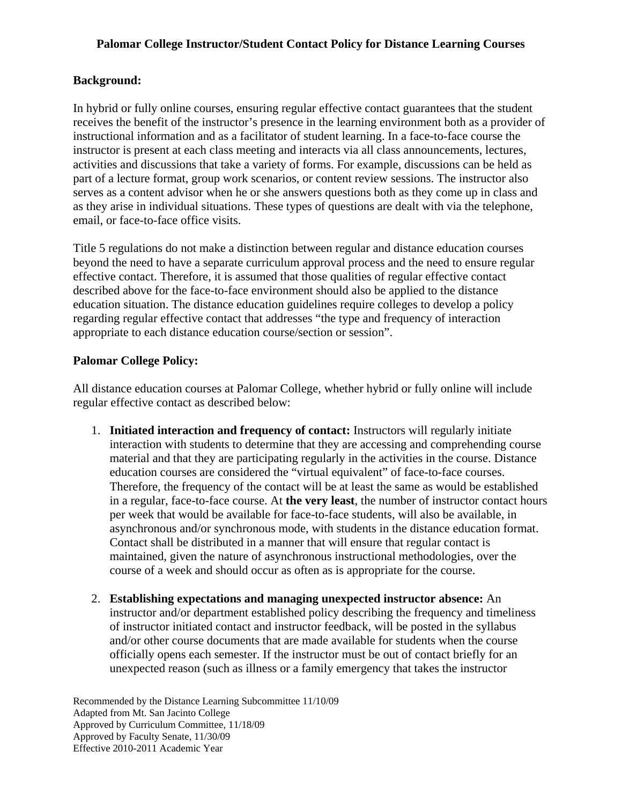## **Palomar College Instructor/Student Contact Policy for Distance Learning Courses**

## **Background:**

In hybrid or fully online courses, ensuring regular effective contact guarantees that the student receives the benefit of the instructor's presence in the learning environment both as a provider of instructional information and as a facilitator of student learning. In a face-to-face course the instructor is present at each class meeting and interacts via all class announcements, lectures, activities and discussions that take a variety of forms. For example, discussions can be held as part of a lecture format, group work scenarios, or content review sessions. The instructor also serves as a content advisor when he or she answers questions both as they come up in class and as they arise in individual situations. These types of questions are dealt with via the telephone, email, or face-to-face office visits.

Title 5 regulations do not make a distinction between regular and distance education courses beyond the need to have a separate curriculum approval process and the need to ensure regular effective contact. Therefore, it is assumed that those qualities of regular effective contact described above for the face-to-face environment should also be applied to the distance education situation. The distance education guidelines require colleges to develop a policy regarding regular effective contact that addresses "the type and frequency of interaction appropriate to each distance education course/section or session".

## **Palomar College Policy:**

All distance education courses at Palomar College, whether hybrid or fully online will include regular effective contact as described below:

- 1. **Initiated interaction and frequency of contact:** Instructors will regularly initiate interaction with students to determine that they are accessing and comprehending course material and that they are participating regularly in the activities in the course. Distance education courses are considered the "virtual equivalent" of face-to-face courses. Therefore, the frequency of the contact will be at least the same as would be established in a regular, face-to-face course. At **the very least**, the number of instructor contact hours per week that would be available for face-to-face students, will also be available, in asynchronous and/or synchronous mode, with students in the distance education format. Contact shall be distributed in a manner that will ensure that regular contact is maintained, given the nature of asynchronous instructional methodologies, over the course of a week and should occur as often as is appropriate for the course.
- 2. **Establishing expectations and managing unexpected instructor absence:** An instructor and/or department established policy describing the frequency and timeliness of instructor initiated contact and instructor feedback, will be posted in the syllabus and/or other course documents that are made available for students when the course officially opens each semester. If the instructor must be out of contact briefly for an unexpected reason (such as illness or a family emergency that takes the instructor

Recommended by the Distance Learning Subcommittee 11/10/09 Adapted from Mt. San Jacinto College Approved by Curriculum Committee, 11/18/09 Approved by Faculty Senate, 11/30/09 Effective 2010-2011 Academic Year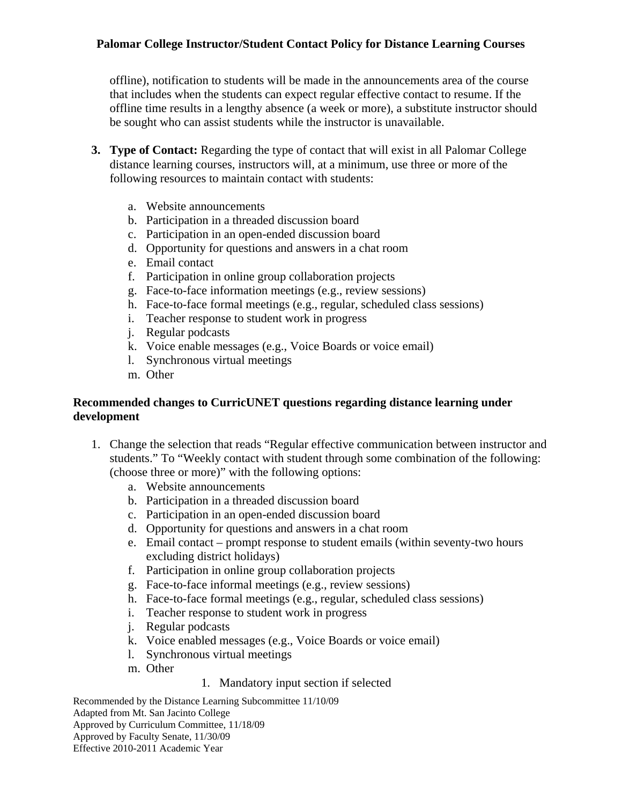## **Palomar College Instructor/Student Contact Policy for Distance Learning Courses**

offline), notification to students will be made in the announcements area of the course that includes when the students can expect regular effective contact to resume. If the offline time results in a lengthy absence (a week or more), a substitute instructor should be sought who can assist students while the instructor is unavailable.

- **3. Type of Contact:** Regarding the type of contact that will exist in all Palomar College distance learning courses, instructors will, at a minimum, use three or more of the following resources to maintain contact with students:
	- a. Website announcements
	- b. Participation in a threaded discussion board
	- c. Participation in an open-ended discussion board
	- d. Opportunity for questions and answers in a chat room
	- e. Email contact
	- f. Participation in online group collaboration projects
	- g. Face-to-face information meetings (e.g., review sessions)
	- h. Face-to-face formal meetings (e.g., regular, scheduled class sessions)
	- i. Teacher response to student work in progress
	- j. Regular podcasts
	- k. Voice enable messages (e.g., Voice Boards or voice email)
	- l. Synchronous virtual meetings
	- m. Other

## **Recommended changes to CurricUNET questions regarding distance learning under development**

- 1. Change the selection that reads "Regular effective communication between instructor and students." To "Weekly contact with student through some combination of the following: (choose three or more)" with the following options:
	- a. Website announcements
	- b. Participation in a threaded discussion board
	- c. Participation in an open-ended discussion board
	- d. Opportunity for questions and answers in a chat room
	- e. Email contact prompt response to student emails (within seventy-two hours excluding district holidays)
	- f. Participation in online group collaboration projects
	- g. Face-to-face informal meetings (e.g., review sessions)
	- h. Face-to-face formal meetings (e.g., regular, scheduled class sessions)
	- i. Teacher response to student work in progress
	- j. Regular podcasts
	- k. Voice enabled messages (e.g., Voice Boards or voice email)
	- l. Synchronous virtual meetings
	- m. Other

#### 1. Mandatory input section if selected

Recommended by the Distance Learning Subcommittee 11/10/09 Adapted from Mt. San Jacinto College Approved by Curriculum Committee, 11/18/09 Approved by Faculty Senate, 11/30/09 Effective 2010-2011 Academic Year